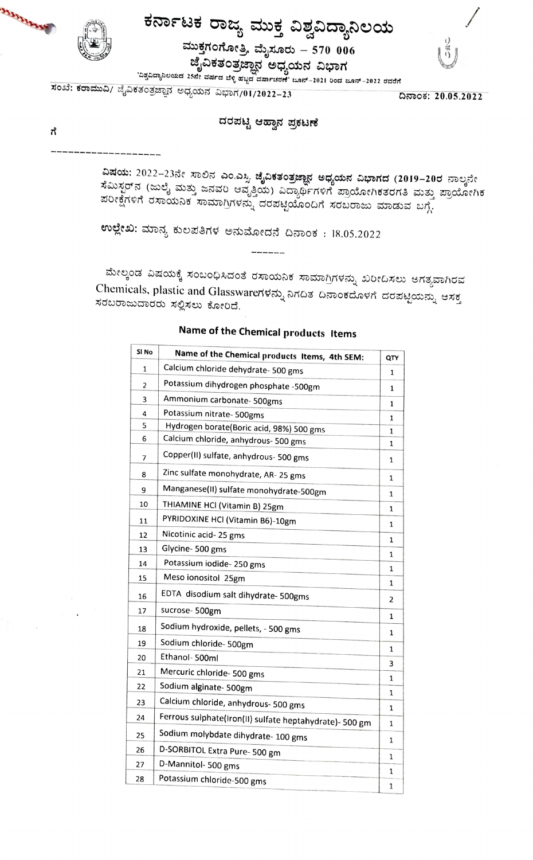

**MARTINERS** 

# ಕರ್ನಾಟಕ ರಾಜ್ಯ ಮುಕ್ತ ವಿಶ್ವವಿದ್ಯಾನಿಲಯ ಮುಕ್ತಗಂಗೋತ್ರಿ, ಮೈಸೂರು – 570  $\,$ 006

ಜೈವಿಕತಂತ್ರಜ್ಞಾನ ಅಧ್ಯಯನ ವಿಭಾಗ



'ಏಶ್ವವಿದ್ಯಾನಿಲಯದ 25ನೇ ವರ್ಷದ ಬೆಳ್ಳಿಹಬ್ಬದ ವರ್ಷಾಚರಣೆ' ಜೂನ್–2021 ರಿಂದ ಜೂನ್–2022 ರವರೆಗೆ

ಸಂಖೆ: ಕರಾಮುವಿ/ ಜೈವಿಕತಂತ್ರಜ್ಞಾನ ಅಧ್ಯಯನ ವಿಭಾಗ/01/2022–23

ದಿನಾಂಕ: 20.05.2022

### ದರಪಟ್ಟಿ ಆಹ್ವಾನ ಪ್ರಕಟಣೆ

ಗೆ

ವಿಷಯ: 2022–23ನೇ ಸಾಲಿನ ಎಂ.ಎಸ್ಸಿ ಜೈವಿಕತಂತ್ರಜ್ಞಾನ ಅಧ್ಯಯನ ವಿಭಾಗದ (2019–20ರ ನಾಲ್ಕನೇ ಸೆಮಿಸ್ಟರ್ನ (ಜುಲೈ ಮತ್ತು ಜನವರಿ ಆವೃತ್ತಿಯ) ವಿದ್ಯಾರ್ಥಿಗಳಿಗೆ ಪ್ರಾಯೋಗಿಕತರಗತಿ ಮತ್ತು ಪ್ರಾಯೋಗಿಕ  $\overline{\mathfrak{so}}$ egren dwoubr was predicted don't solone was dependent  $\overline{\mathfrak{so}}$ 

ಉಲ್ಲೇಖ: ಮಾನ್ಯ ಕುಲಪತಿಗಳ ಅನುಮೋದನೆ ದಿನಾಂಕ : 18.05.2022

ಮೇಲ್ಕಂಡ ವಿಷಯಕ್ಕೆ ಸಂಬಂಧಿಸಿದಂತೆ ರಸಾಯನಿಕ ಸಾಮಾಗ್ರಿಗಳನ್ನು ಖರೀದಿಸಲು ಅಗತ್ಯವಾಗಿರವ Chemicals, plastic and Glasswareಗಳನ್ನು ನಿಗದಿತ ದಿನಾಂಕದೊಳಗೆ ದರಪಟ್ಟಿಯನ್ನು ಆಸಕ್ತ ಸರಬರಾಜುದಾರರು ಸಲ್ಲಿಸಲು ಕೋರಿದೆ.

| SI No | Name of the Chemical products Items, 4th SEM:           | QTY          |
|-------|---------------------------------------------------------|--------------|
| 1     | Calcium chloride dehydrate- 500 gms                     | $\mathbf{1}$ |
| 2     | Potassium dihydrogen phosphate -500gm                   | 1            |
| 3     | Ammonium carbonate- 500gms                              | 1            |
| 4     | Potassium nitrate- 500gms                               | 1            |
| 5     | Hydrogen borate(Boric acid, 98%) 500 gms                | 1            |
| 6     | Calcium chloride, anhydrous- 500 gms                    | 1            |
| 7     | Copper(II) sulfate, anhydrous- 500 gms                  | 1            |
| 8     | Zinc sulfate monohydrate, AR- 25 gms                    | $\mathbf{1}$ |
| 9     | Manganese(II) sulfate monohydrate-500gm                 | 1            |
| 10    | THIAMINE HCI (Vitamin B) 25gm                           | 1            |
| 11    | PYRIDOXINE HCI (Vitamin B6)-10gm                        | 1            |
| 12    | Nicotinic acid-25 gms                                   | 1            |
| 13    | Glycine-500 gms                                         | 1            |
| 14    | Potassium iodide-250 gms                                | 1            |
| 15    | Meso ionositol 25gm                                     | 1            |
| 16    | EDTA disodium salt dihydrate- 500gms                    | 2            |
| 17    | sucrose-500gm                                           | 1            |
| 18    | Sodium hydroxide, pellets, - 500 gms                    | 1            |
| 19    | Sodium chloride- 500gm                                  | 1            |
| 20    | Ethanol- 500ml                                          | 3            |
| 21    | Mercuric chloride- 500 gms                              | 1            |
| 22    | Sodium alginate- 500gm                                  | 1            |
| 23    | Calcium chloride, anhydrous- 500 gms                    | 1            |
| 24    | Ferrous sulphate(Iron(II) sulfate heptahydrate)- 500 gm | 1            |
| 25    | Sodium molybdate dihydrate- 100 gms                     | 1            |
| 26    | D-SORBITOL Extra Pure- 500 gm                           |              |
| 27    | D-Mannitol- 500 gms                                     | 1            |
| 28    | Potassium chloride-500 gms                              | 1            |

## Name of the Chemical products Items